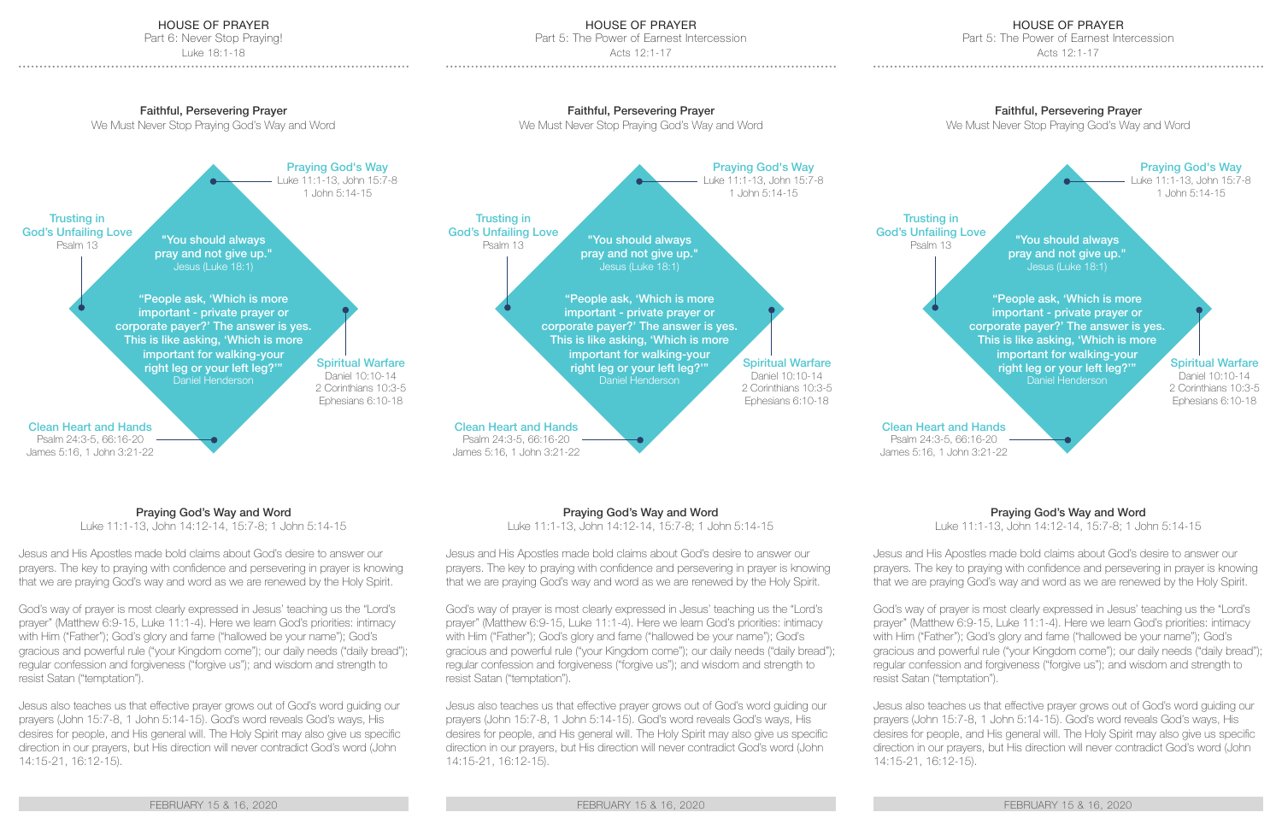## HOUSE OF PRAYER

Part 6: Never Stop Praying!

Luke 18:1-18

## Faithful, Persevering Prayer

We Must Never Stop Praying God's Way and Word

Spiritual Warfare Daniel 10:10-14 2 Corinthians 10:3-5 Ephesians 6:10-18 Praying God's Way Luke 11:1-13, John 15:7-8 1 John 5:14-15 "You should always pray and not give up." Jesus (Luke 18:1) "People ask, 'Which is more important - private prayer or corporate payer?' The answer is yes. This is like asking, 'Which is more important for walking-your right leg or your left leg?'" Daniel Henderson Trusting in God's Unfailing Love Psalm 13

Clean Heart and Hands

Psalm 24:3-5, 66:16-20 James 5:16, 1 John 3:21-22

# Praying God's Way and Word

Luke 11:1-13, John 14:12-14, 15:7-8; 1 John 5:14-15

Jesus and His Apostles made bold claims about God's desire to answer our prayers. The key to praying with confidence and persevering in prayer is knowing that we are praying God's way and word as we are renewed by the Holy Spirit.

God's way of prayer is most clearly expressed in Jesus' teaching us the "Lord's prayer" (Matthew 6:9-15, Luke 11:1-4). Here we learn God's priorities: intimacy with Him ("Father"); God's glory and fame ("hallowed be your name"); God's gracious and powerful rule ("your Kingdom come"); our daily needs ("daily bread"); regular confession and forgiveness ("forgive us"); and wisdom and strength to resist Satan ("temptation").

Jesus also teaches us that effective prayer grows out of God's word guiding our prayers (John 15:7-8, 1 John 5:14-15). God's word reveals God's ways, His desires for people, and His general will. The Holy Spirit may also give us specific direction in our prayers, but His direction will never contradict God's word (John 14:15-21, 16:12-15).